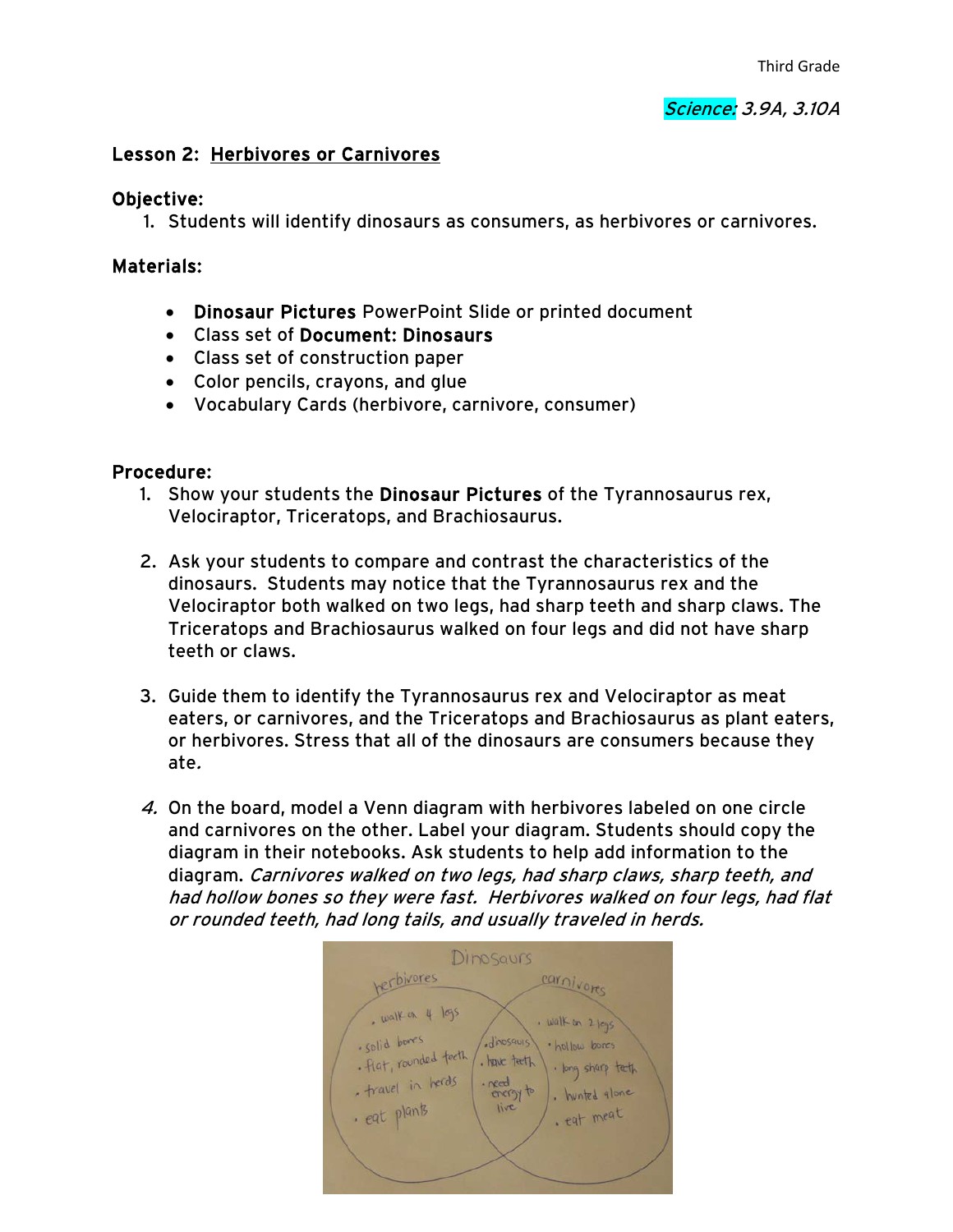#### Lesson 2: Herbivores or Carnivores

#### Objective:

1. Students will identify dinosaurs as consumers, as herbivores or carnivores.

### Materials:

- Dinosaur Pictures PowerPoint Slide or printed document
- Class set of Document: Dinosaurs
- Class set of construction paper
- Color pencils, crayons, and glue
- Vocabulary Cards (herbivore, carnivore, consumer)

## Procedure:

- 1. Show your students the Dinosaur Pictures of the Tyrannosaurus rex, Velociraptor, Triceratops, and Brachiosaurus.
- 2. Ask your students to compare and contrast the characteristics of the dinosaurs. Students may notice that the Tyrannosaurus rex and the Velociraptor both walked on two legs, had sharp teeth and sharp claws. The Triceratops and Brachiosaurus walked on four legs and did not have sharp teeth or claws.
- 3. Guide them to identify the Tyrannosaurus rex and Velociraptor as meat eaters, or carnivores, and the Triceratops and Brachiosaurus as plant eaters, or herbivores. Stress that all of the dinosaurs are consumers because they ate.
- 4. On the board, model a Venn diagram with herbivores labeled on one circle and carnivores on the other. Label your diagram. Students should copy the diagram in their notebooks. Ask students to help add information to the diagram. Carnivores walked on two legs, had sharp claws, sharp teeth, and had hollow bones so they were fast. Herbivores walked on four legs, had flat or rounded teeth, had long tails, and usually traveled in herds.